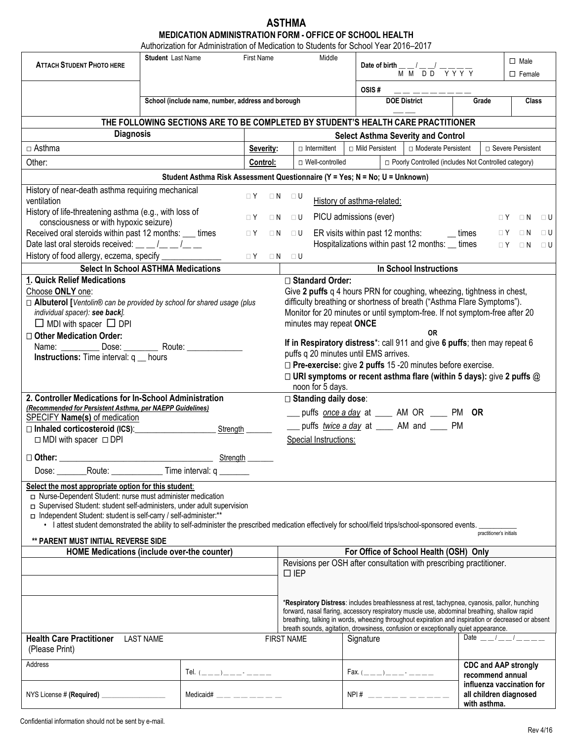#### **ASTHMA MEDICATION ADMINISTRATION FORM - OFFICE OF SCHOOL HEALTH** Authorization for Administration of Medication to Students for School Year 2016–2017

| <b>ATTACH STUDENT PHOTO HERE</b>                                                                                                                                                                                                                                                                                                                                                                                         | Student Last Name<br><b>First Name</b>            |                                                                             |                            |                   | Middle                                                                                                                                                                                                                                                                                                                                                                                    |                                                                                                |                            |                                                                            |                  |                         | $\Box$ Male                                         |       |
|--------------------------------------------------------------------------------------------------------------------------------------------------------------------------------------------------------------------------------------------------------------------------------------------------------------------------------------------------------------------------------------------------------------------------|---------------------------------------------------|-----------------------------------------------------------------------------|----------------------------|-------------------|-------------------------------------------------------------------------------------------------------------------------------------------------------------------------------------------------------------------------------------------------------------------------------------------------------------------------------------------------------------------------------------------|------------------------------------------------------------------------------------------------|----------------------------|----------------------------------------------------------------------------|------------------|-------------------------|-----------------------------------------------------|-------|
|                                                                                                                                                                                                                                                                                                                                                                                                                          |                                                   |                                                                             |                            |                   |                                                                                                                                                                                                                                                                                                                                                                                           | Date of birth $\frac{1}{M} \frac{1}{M} \frac{1}{D} \frac{1}{D} \frac{1}{D} \frac{1}{\sqrt{N}}$ |                            |                                                                            | $\square$ Female |                         |                                                     |       |
|                                                                                                                                                                                                                                                                                                                                                                                                                          |                                                   |                                                                             |                            |                   |                                                                                                                                                                                                                                                                                                                                                                                           |                                                                                                |                            | OSIS#                                                                      |                  |                         |                                                     |       |
|                                                                                                                                                                                                                                                                                                                                                                                                                          | School (include name, number, address and borough |                                                                             |                            |                   |                                                                                                                                                                                                                                                                                                                                                                                           |                                                                                                |                            | <b>DOE District</b>                                                        |                  | Grade                   |                                                     | Class |
| THE FOLLOWING SECTIONS ARE TO BE COMPLETED BY STUDENT'S HEALTH CARE PRACTITIONER                                                                                                                                                                                                                                                                                                                                         |                                                   |                                                                             |                            |                   |                                                                                                                                                                                                                                                                                                                                                                                           |                                                                                                |                            |                                                                            |                  |                         |                                                     |       |
| <b>Diagnosis</b>                                                                                                                                                                                                                                                                                                                                                                                                         |                                                   |                                                                             |                            |                   | <b>Select Asthma Severity and Control</b>                                                                                                                                                                                                                                                                                                                                                 |                                                                                                |                            |                                                                            |                  |                         |                                                     |       |
| $\Box$ Asthma                                                                                                                                                                                                                                                                                                                                                                                                            |                                                   |                                                                             | Severity:                  |                   | $\Box$ Intermittent                                                                                                                                                                                                                                                                                                                                                                       |                                                                                                |                            | □ Mild Persistent<br>□ Moderate Persistent                                 |                  | □ Severe Persistent     |                                                     |       |
| Other:                                                                                                                                                                                                                                                                                                                                                                                                                   |                                                   |                                                                             | Control:                   |                   | □ Well-controlled                                                                                                                                                                                                                                                                                                                                                                         |                                                                                                |                            | □ Poorly Controlled (includes Not Controlled category)                     |                  |                         |                                                     |       |
|                                                                                                                                                                                                                                                                                                                                                                                                                          |                                                   | Student Asthma Risk Assessment Questionnaire (Y = Yes; N = No; U = Unknown) |                            |                   |                                                                                                                                                                                                                                                                                                                                                                                           |                                                                                                |                            |                                                                            |                  |                         |                                                     |       |
| History of near-death asthma requiring mechanical                                                                                                                                                                                                                                                                                                                                                                        |                                                   |                                                                             | $\Box$ Y                   | $\Box N$ $\Box U$ |                                                                                                                                                                                                                                                                                                                                                                                           |                                                                                                |                            |                                                                            |                  |                         |                                                     |       |
| ventilation                                                                                                                                                                                                                                                                                                                                                                                                              |                                                   |                                                                             |                            |                   |                                                                                                                                                                                                                                                                                                                                                                                           |                                                                                                | History of asthma-related: |                                                                            |                  |                         |                                                     |       |
| History of life-threatening asthma (e.g., with loss of<br>consciousness or with hypoxic seizure)                                                                                                                                                                                                                                                                                                                         |                                                   |                                                                             | $\sqcap Y$                 | $\Box$ N          | ⊟ U                                                                                                                                                                                                                                                                                                                                                                                       |                                                                                                | PICU admissions (ever)     |                                                                            |                  | $\sqcap Y$              | $\Box$ N                                            | ⊟ U   |
| Received oral steroids within past 12 months: ___ times                                                                                                                                                                                                                                                                                                                                                                  |                                                   |                                                                             | $\Box$ Y                   |                   | $\Box N$ $\Box U$                                                                                                                                                                                                                                                                                                                                                                         |                                                                                                |                            | ER visits within past 12 months:                                           | $\equiv$ times   | $\Box$ Y                | $\Box$ N                                            | ⊟ U   |
| Date last oral steroids received: $\underline{\qquad \qquad }$ / $\underline{\qquad \qquad }$ /                                                                                                                                                                                                                                                                                                                          |                                                   |                                                                             |                            |                   |                                                                                                                                                                                                                                                                                                                                                                                           |                                                                                                |                            | Hospitalizations within past 12 months: _ times                            |                  | $\Box$ Y                | $\Box$ N                                            | ⊟ U   |
| History of food allergy, eczema, specify __________                                                                                                                                                                                                                                                                                                                                                                      |                                                   |                                                                             | $\Box$ Y $\Box$ N $\Box$ U |                   |                                                                                                                                                                                                                                                                                                                                                                                           |                                                                                                |                            |                                                                            |                  |                         |                                                     |       |
| <b>Select In School ASTHMA Medications</b>                                                                                                                                                                                                                                                                                                                                                                               |                                                   |                                                                             |                            |                   |                                                                                                                                                                                                                                                                                                                                                                                           |                                                                                                |                            | <b>In School Instructions</b>                                              |                  |                         |                                                     |       |
| 1. Quick Relief Medications                                                                                                                                                                                                                                                                                                                                                                                              |                                                   |                                                                             |                            |                   | □ Standard Order:                                                                                                                                                                                                                                                                                                                                                                         |                                                                                                |                            |                                                                            |                  |                         |                                                     |       |
| Choose ONLY one:                                                                                                                                                                                                                                                                                                                                                                                                         |                                                   |                                                                             |                            |                   | Give 2 puffs q 4 hours PRN for coughing, wheezing, tightness in chest,                                                                                                                                                                                                                                                                                                                    |                                                                                                |                            |                                                                            |                  |                         |                                                     |       |
| □ Albuterol [Ventolin® can be provided by school for shared usage (plus                                                                                                                                                                                                                                                                                                                                                  |                                                   |                                                                             |                            |                   | difficulty breathing or shortness of breath ("Asthma Flare Symptoms").                                                                                                                                                                                                                                                                                                                    |                                                                                                |                            |                                                                            |                  |                         |                                                     |       |
| individual spacer): see back].                                                                                                                                                                                                                                                                                                                                                                                           |                                                   |                                                                             |                            |                   |                                                                                                                                                                                                                                                                                                                                                                                           |                                                                                                |                            | Monitor for 20 minutes or until symptom-free. If not symptom-free after 20 |                  |                         |                                                     |       |
| $\Box$ MDI with spacer $\Box$ DPI                                                                                                                                                                                                                                                                                                                                                                                        |                                                   |                                                                             |                            |                   | minutes may repeat ONCE                                                                                                                                                                                                                                                                                                                                                                   |                                                                                                |                            |                                                                            |                  |                         |                                                     |       |
| □ Other Medication Order:                                                                                                                                                                                                                                                                                                                                                                                                |                                                   |                                                                             |                            |                   | <b>OR</b>                                                                                                                                                                                                                                                                                                                                                                                 |                                                                                                |                            |                                                                            |                  |                         |                                                     |       |
| Name: ____________ Dose: _                                                                                                                                                                                                                                                                                                                                                                                               |                                                   | Route: Route:                                                               |                            |                   | If in Respiratory distress*: call 911 and give 6 puffs; then may repeat 6                                                                                                                                                                                                                                                                                                                 |                                                                                                |                            |                                                                            |                  |                         |                                                     |       |
| <b>Instructions:</b> Time interval: $q$ _ hours                                                                                                                                                                                                                                                                                                                                                                          |                                                   |                                                                             |                            |                   | puffs q 20 minutes until EMS arrives.                                                                                                                                                                                                                                                                                                                                                     |                                                                                                |                            |                                                                            |                  |                         |                                                     |       |
|                                                                                                                                                                                                                                                                                                                                                                                                                          |                                                   |                                                                             |                            |                   | $\Box$ Pre-exercise: give 2 puffs 15 -20 minutes before exercise.<br>$\Box$ URI symptoms or recent asthma flare (within 5 days): give 2 puffs $@$<br>noon for 5 days.                                                                                                                                                                                                                     |                                                                                                |                            |                                                                            |                  |                         |                                                     |       |
| 2. Controller Medications for In-School Administration                                                                                                                                                                                                                                                                                                                                                                   |                                                   |                                                                             |                            |                   | □ Standing daily dose:                                                                                                                                                                                                                                                                                                                                                                    |                                                                                                |                            |                                                                            |                  |                         |                                                     |       |
| (Recommended for Persistent Asthma, per NAEPP Guidelines)                                                                                                                                                                                                                                                                                                                                                                |                                                   |                                                                             |                            |                   |                                                                                                                                                                                                                                                                                                                                                                                           |                                                                                                |                            |                                                                            |                  |                         |                                                     |       |
| <b>SPECIFY Name(s) of medication</b>                                                                                                                                                                                                                                                                                                                                                                                     |                                                   |                                                                             |                            |                   | puffs twice a day at _____ AM and _____ PM                                                                                                                                                                                                                                                                                                                                                |                                                                                                |                            |                                                                            |                  |                         |                                                     |       |
|                                                                                                                                                                                                                                                                                                                                                                                                                          |                                                   | Strength                                                                    |                            |                   | Special Instructions:                                                                                                                                                                                                                                                                                                                                                                     |                                                                                                |                            |                                                                            |                  |                         |                                                     |       |
| □ MDI with spacer □ DPI                                                                                                                                                                                                                                                                                                                                                                                                  |                                                   |                                                                             |                            |                   |                                                                                                                                                                                                                                                                                                                                                                                           |                                                                                                |                            |                                                                            |                  |                         |                                                     |       |
| $\square$ Other:                                                                                                                                                                                                                                                                                                                                                                                                         |                                                   | Strength                                                                    |                            |                   |                                                                                                                                                                                                                                                                                                                                                                                           |                                                                                                |                            |                                                                            |                  |                         |                                                     |       |
| Dose: Dose                                                                                                                                                                                                                                                                                                                                                                                                               |                                                   | Route: Time interval: q                                                     |                            |                   |                                                                                                                                                                                                                                                                                                                                                                                           |                                                                                                |                            |                                                                            |                  |                         |                                                     |       |
| Select the most appropriate option for this student:<br>□ Nurse-Dependent Student: nurse must administer medication<br>□ Supervised Student: student self-administers, under adult supervision<br>ndependent Student: student is self-carry / self-administer:**<br>· I attest student demonstrated the ability to self-administer the prescribed medication effectively for school/field trips/school-sponsored events. |                                                   |                                                                             |                            |                   |                                                                                                                                                                                                                                                                                                                                                                                           |                                                                                                |                            |                                                                            |                  |                         |                                                     |       |
| <b>** PARENT MUST INITIAL REVERSE SIDE</b>                                                                                                                                                                                                                                                                                                                                                                               |                                                   |                                                                             |                            |                   |                                                                                                                                                                                                                                                                                                                                                                                           |                                                                                                |                            |                                                                            |                  | practitioner's initials |                                                     |       |
| <b>HOME Medications (include over-the counter)</b>                                                                                                                                                                                                                                                                                                                                                                       |                                                   |                                                                             |                            |                   | For Office of School Health (OSH) Only                                                                                                                                                                                                                                                                                                                                                    |                                                                                                |                            |                                                                            |                  |                         |                                                     |       |
|                                                                                                                                                                                                                                                                                                                                                                                                                          |                                                   |                                                                             |                            |                   | Revisions per OSH after consultation with prescribing practitioner.<br>$\square$ IEP                                                                                                                                                                                                                                                                                                      |                                                                                                |                            |                                                                            |                  |                         |                                                     |       |
|                                                                                                                                                                                                                                                                                                                                                                                                                          |                                                   |                                                                             |                            |                   |                                                                                                                                                                                                                                                                                                                                                                                           |                                                                                                |                            |                                                                            |                  |                         |                                                     |       |
|                                                                                                                                                                                                                                                                                                                                                                                                                          |                                                   |                                                                             |                            |                   | *Respiratory Distress: includes breathlessness at rest, tachypnea, cyanosis, pallor, hunching<br>forward, nasal flaring, accessory respiratory muscle use, abdominal breathing, shallow rapid<br>breathing, talking in words, wheezing throughout expiration and inspiration or decreased or absent<br>breath sounds, agitation, drowsiness, confusion or exceptionally quiet appearance. |                                                                                                |                            |                                                                            |                  |                         |                                                     |       |
| <b>Health Care Practitioner</b><br><b>LAST NAME</b><br>(Please Print)                                                                                                                                                                                                                                                                                                                                                    |                                                   |                                                                             |                            | <b>FIRST NAME</b> |                                                                                                                                                                                                                                                                                                                                                                                           |                                                                                                | Signature                  |                                                                            |                  |                         | Date $\frac{1}{2}$ $\frac{1}{2}$                    |       |
| Address                                                                                                                                                                                                                                                                                                                                                                                                                  |                                                   | Tel. $($ _ _ _ ) _ _ _ _ - _ _ _ _                                          |                            |                   |                                                                                                                                                                                                                                                                                                                                                                                           |                                                                                                |                            | Fax. $($ _ _ _ ) _ _ _ _ · _ _ _ _                                         |                  | recommend annual        | <b>CDC and AAP strongly</b>                         |       |
| NYS License # (Required) ____________________                                                                                                                                                                                                                                                                                                                                                                            |                                                   | Medicaid# $\_\_\_\_\_\_\_\_\_\_\_\_\_\_\_$                                  |                            |                   |                                                                                                                                                                                                                                                                                                                                                                                           |                                                                                                |                            | $NPI#$ ___________                                                         |                  | with asthma.            | influenza vaccination for<br>all children diagnosed |       |